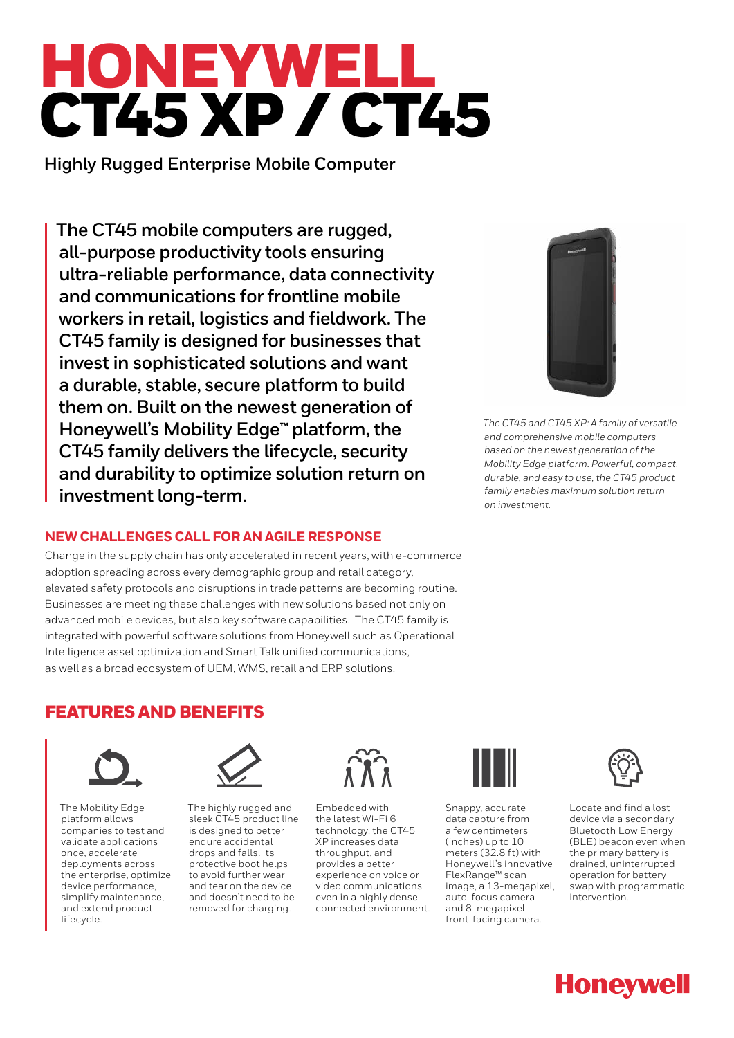# HONEYWELL CT45 XP / CT45

**Highly Rugged Enterprise Mobile Computer** 

**The CT45 mobile computers are rugged, all-purpose productivity tools ensuring ultra-reliable performance, data connectivity and communications for frontline mobile workers in retail, logistics and fieldwork. The CT45 family is designed for businesses that invest in sophisticated solutions and want a durable, stable, secure platform to build them on. Built on the newest generation of Honeywell's Mobility Edge**™ **platform, the CT45 family delivers the lifecycle, security and durability to optimize solution return on investment long-term.**

## **NEW CHALLENGES CALL FOR AN AGILE RESPONSE**

Change in the supply chain has only accelerated in recent years, with e-commerce adoption spreading across every demographic group and retail category, elevated safety protocols and disruptions in trade patterns are becoming routine. Businesses are meeting these challenges with new solutions based not only on advanced mobile devices, but also key software capabilities. The CT45 family is integrated with powerful software solutions from Honeywell such as Operational Intelligence asset optimization and Smart Talk unified communications, as well as a broad ecosystem of UEM, WMS, retail and ERP solutions.



*The CT45 and CT45 XP: A family of versatile and comprehensive mobile computers based on the newest generation of the Mobility Edge platform. Powerful, compact, durable, and easy to use, the CT45 product family enables maximum solution return on investment.*

# FEATURES AND BENEFITS



The Mobility Edge platform allows companies to test and validate applications once, accelerate deployments across the enterprise, optimize device performance, simplify maintenance, and extend product lifecycle.



The highly rugged and sleek CT45 product line is designed to better endure accidental drops and falls. Its protective boot helps to avoid further wear and tear on the device and doesn't need to be removed for charging.



Embedded with the latest Wi-Fi 6 technology, the CT45 XP increases data throughput, and provides a better experience on voice or video communications even in a highly dense connected environment.



Snappy, accurate data capture from a few centimeters (inches) up to 10 meters (32.8 ft) with Honeywell's innovative FlexRange™ scan image, a 13-megapixel, auto-focus camera and 8-megapixel front-facing camera.



Locate and find a lost device via a secondary Bluetooth Low Energy (BLE) beacon even when the primary battery is drained, uninterrupted operation for battery swap with programmatic intervention.

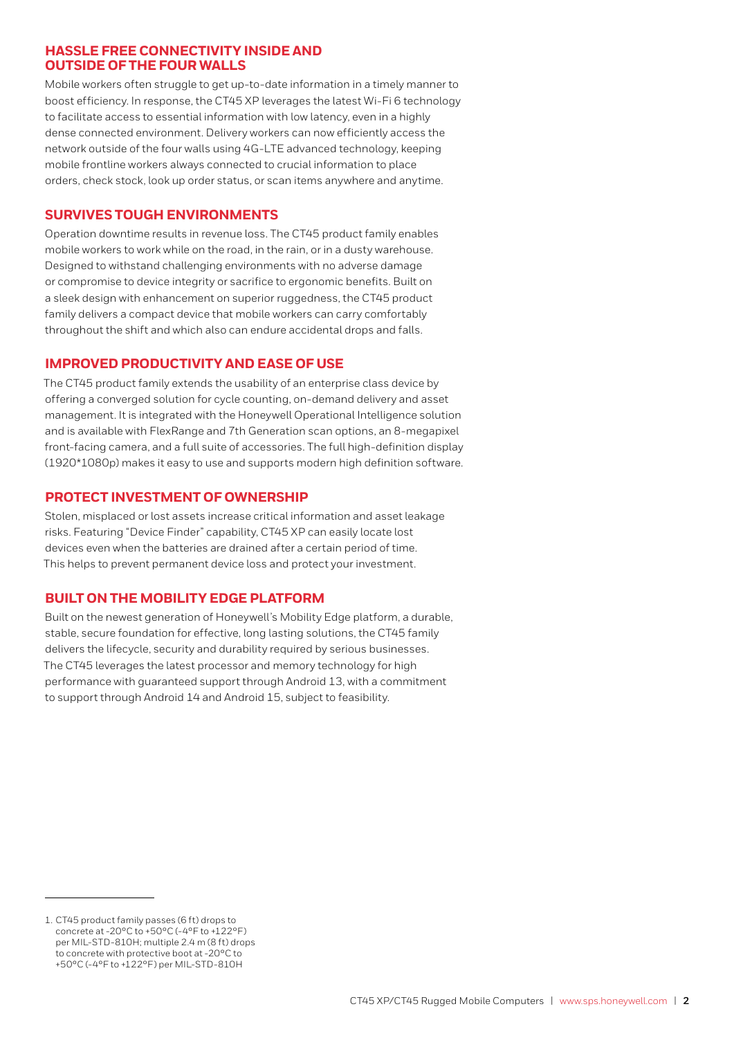## **HASSLE FREE CONNECTIVITY INSIDE AND OUTSIDE OF THE FOUR WALLS**

Mobile workers often struggle to get up-to-date information in a timely manner to boost efficiency. In response, the CT45 XP leverages the latest Wi-Fi 6 technology to facilitate access to essential information with low latency, even in a highly dense connected environment. Delivery workers can now efficiently access the network outside of the four walls using 4G-LTE advanced technology, keeping mobile frontline workers always connected to crucial information to place orders, check stock, look up order status, or scan items anywhere and anytime.

## **SURVIVES TOUGH ENVIRONMENTS**

Operation downtime results in revenue loss. The CT45 product family enables mobile workers to work while on the road, in the rain, or in a dusty warehouse. Designed to withstand challenging environments with no adverse damage or compromise to device integrity or sacrifice to ergonomic benefits. Built on a sleek design with enhancement on superior ruggedness, the CT45 product family delivers a compact device that mobile workers can carry comfortably throughout the shift and which also can endure accidental drops and falls.

## **IMPROVED PRODUCTIVITY AND EASE OF USE**

The CT45 product family extends the usability of an enterprise class device by offering a converged solution for cycle counting, on-demand delivery and asset management. It is integrated with the Honeywell Operational Intelligence solution and is available with FlexRange and 7th Generation scan options, an 8-megapixel front-facing camera, and a full suite of accessories. The full high-definition display (1920\*1080p) makes it easy to use and supports modern high definition software.

## **PROTECT INVESTMENT OF OWNERSHIP**

Stolen, misplaced or lost assets increase critical information and asset leakage risks. Featuring "Device Finder" capability, CT45 XP can easily locate lost devices even when the batteries are drained after a certain period of time. This helps to prevent permanent device loss and protect your investment.

## **BUILT ON THE MOBILITY EDGE PLATFORM**

Built on the newest generation of Honeywell's Mobility Edge platform, a durable, stable, secure foundation for effective, long lasting solutions, the CT45 family delivers the lifecycle, security and durability required by serious businesses. The CT45 leverages the latest processor and memory technology for high performance with guaranteed support through Android 13, with a commitment to support through Android 14 and Android 15, subject to feasibility.

<sup>1.</sup> CT45 product family passes (6 ft) drops to concrete at -20°C to +50°C (-4°F to +122°F) per MIL-STD-810H; multiple 2.4 m (8 ft) drops to concrete with protective boot at -20°C to +50°C (-4°F to +122°F) per MIL-STD-810H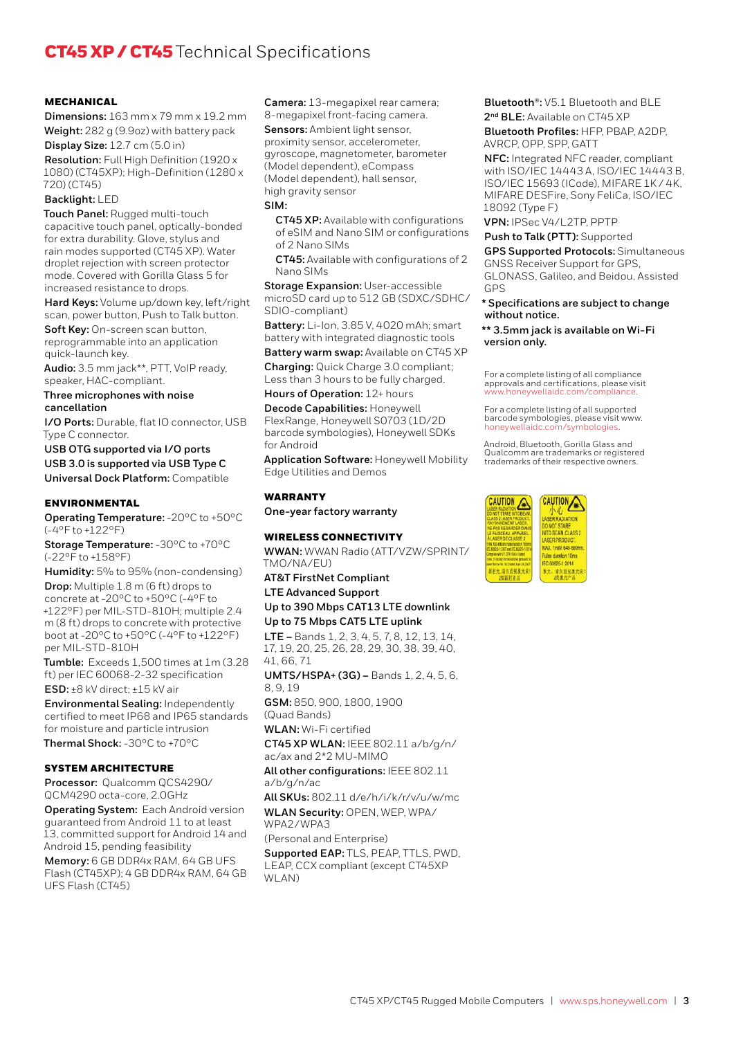# CT45 XP / CT45 Technical Specifications

### **MECHANICAL**

**Dimensions:** 163 mm x 79 mm x 19.2 mm **Weight:** 282 g (9.9oz) with battery pack

**Display Size:** 12.7 cm (5.0 in) **Resolution:** Full High Definition (1920 x 1080) (CT45XP); High-Definition (1280 x 720) (CT45)

#### **Backlight:** LED

**Touch Panel:** Rugged multi-touch capacitive touch panel, optically-bonded for extra durability. Glove, stylus and rain modes supported (CT45 XP). Water droplet rejection with screen protector mode. Covered with Gorilla Glass 5 for increased resistance to drops.

**Hard Keys:** Volume up/down key, left/right scan, power button, Push to Talk button.

**Soft Key:** On-screen scan button, reprogrammable into an application quick-launch key.

**Audio:** 3.5 mm jack\*\*, PTT, VoIP ready, speaker, HAC-compliant.

#### **Three microphones with noise cancellation**

**I/O Ports:** Durable, flat IO connector, USB Type C connector.

**USB OTG supported via I/O ports USB 3.0 is supported via USB Type C Universal Dock Platform:** Compatible

#### ENVIRONMENTAL

**Operating Temperature:** -20°C to +50°C (-4°F to +122°F)

**Storage Temperature:** -30°C to +70°C (-22°F to +158°F)

**Humidity:** 5% to 95% (non-condensing) **Drop:** Multiple 1.8 m (6 ft) drops to concrete at -20°C to +50°C (-4°F to +122°F) per MIL-STD-810H; multiple 2.4 m (8 ft) drops to concrete with protective boot at -20°C to +50°C (-4°F to +122°F) per MIL-STD-810H

**Tumble:** Exceeds 1,500 times at 1m (3.28 ft) per IEC 60068-2-32 specification

**ESD:** ±8 kV direct; ±15 kV air

**Environmental Sealing:** Independently certified to meet IP68 and IP65 standards for moisture and particle intrusion **Thermal Shock:** -30°C to +70°C

#### SYSTEM ARCHITECTURE

**Processor:** Qualcomm QCS4290/ QCM4290 octa-core, 2.0GHz

**Operating System:** Each Android version guaranteed from Android 11 to at least 13, committed support for Android 14 and Android 15, pending feasibility

**Memory:** 6 GB DDR4x RAM, 64 GB UFS Flash (CT45XP); 4 GB DDR4x RAM, 64 GB UFS Flash (CT45)

**Camera:** 13-megapixel rear camera; 8-megapixel front-facing camera.

**Sensors:** Ambient light sensor, proximity sensor, accelerometer, gyroscope, magnetometer, barometer (Model dependent), eCompass (Model dependent), hall sensor, high gravity sensor

#### **SIM:**

**CT45 XP:** Available with configurations of eSIM and Nano SIM or configurations of 2 Nano SIMs

**CT45:** Available with configurations of 2 Nano SIMs

**Storage Expansion:** User-accessible microSD card up to 512 GB (SDXC/SDHC/ SDIO-compliant)

**Battery:** Li-Ion, 3.85 V, 4020 mAh; smart battery with integrated diagnostic tools

**Battery warm swap:** Available on CT45 XP

**Charging:** Quick Charge 3.0 compliant; Less than 3 hours to be fully charged.

**Hours of Operation:** 12+ hours

**Decode Capabilities:** Honeywell FlexRange, Honeywell S0703 (1D/2D barcode symbologies), Honeywell SDKs for Android

**Application Software:** Honeywell Mobility Edge Utilities and Demos

#### **WARRANTY**

**One-year factory warranty**

#### WIRELESS CONNECTIVITY

**WWAN:** WWAN Radio (ATT/VZW/SPRINT/ TMO/NA/EU)

**AT&T FirstNet Compliant** 

## **LTE Advanced Support**

**Up to 390 Mbps CAT13 LTE downlink Up to 75 Mbps CAT5 LTE uplink** 

**LTE –** Bands 1, 2, 3, 4, 5, 7, 8, 12, 13, 14, 17, 19, 20, 25, 26, 28, 29, 30, 38, 39, 40, 41, 66, 71

**UMTS/HSPA+ (3G) –** Bands 1, 2, 4, 5, 6, 8, 9, 19

**GSM:** 850, 900, 1800, 1900 (Quad Bands)

**WLAN:** Wi-Fi certified **CT45 XP WLAN:** IEEE 802.11 a/b/g/n/

ac/ax and 2\*2 MU-MIMO

**All other configurations:** IEEE 802.11 a/b/g/n/ac

**All SKUs:** 802.11 d/e/h/i/k/r/v/u/w/mc **WLAN Security:** OPEN, WEP, WPA/

WPA2/WPA3

(Personal and Enterprise)

**Supported EAP:** TLS, PEAP, TTLS, PWD, LEAP, CCX compliant (except CT45XP WLAN)

**Bluetooth®:** V5.1 Bluetooth and BLE **2nd BLE:** Available on CT45 XP **Bluetooth Profiles:** HFP, PBAP, A2DP, AVRCP, OPP, SPP, GATT

**NFC:** Integrated NFC reader, compliant with ISO/IEC 14443 A, ISO/IEC 14443 B, ISO/IEC 15693 (ICode), MIFARE 1K / 4K, MIFARE DESFire, Sony FeliCa, ISO/IEC 18092 (Type F)

**VPN:** IPSec V4/L2TP, PPTP

**Push to Talk (PTT):** Supported **GPS Supported Protocols:** Simultaneous GNSS Receiver Support for GPS, GLONASS, Galileo, and Beidou, Assisted GPS

**\* Specifications are subject to change without notice.**

**\*\* 3.5mm jack is available on Wi-Fi version only.**

For a complete listing of all compliance approvals and certifications, please visit www.honeywellaidc.com/compliance

For a complete listing of all supported barcode symbologies, please visit www. honeywellaidc.com/symbologies.

Android, Bluetooth, Gorilla Glass and Qualcomm are trademarks or registered trademarks of their respective owners.